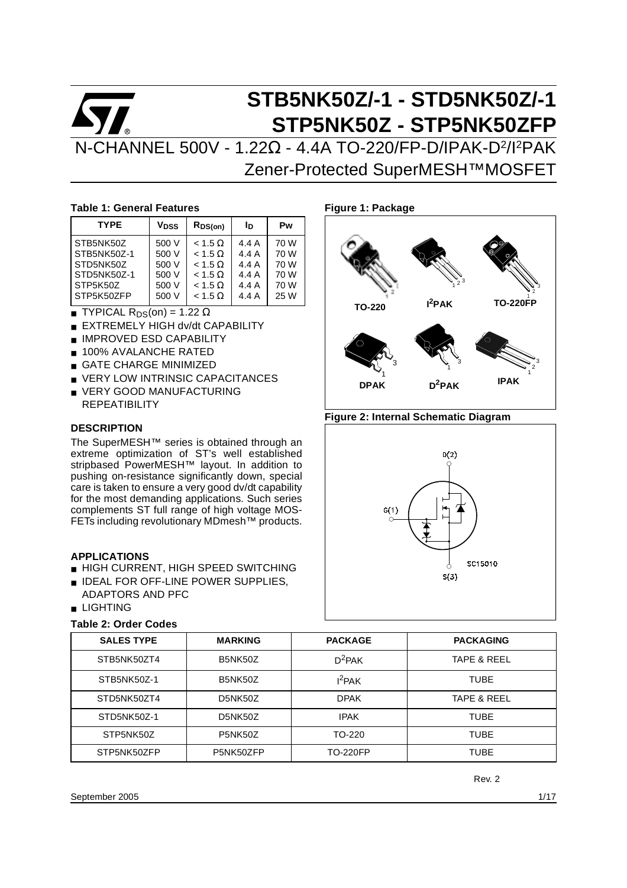# **STB5NK50Z/-1 - STD5NK50Z/-1 STP5NK50Z - STP5NK50ZFP** N-CHANNEL 500V - 1.22Ω - 4.4A TO-220/FP-D/IPAK-D2/I2PAK Zener-Protected SuperMESH™MOSFET

## **Table 1: General Features**

| <b>TYPE</b>                                                      | V <sub>DSS</sub>                          | $R_{DS(on)}$                                                                           | Iв                                        | Pw                                   |
|------------------------------------------------------------------|-------------------------------------------|----------------------------------------------------------------------------------------|-------------------------------------------|--------------------------------------|
| STB5NK50Z<br>STB5NK50Z-1<br>STD5NK50Z<br>STD5NK50Z-1<br>STP5K50Z | 500 V<br>500 V<br>500 V<br>500 V<br>500 V | $< 1.5 \Omega$<br>$< 1.5 \Omega$<br>$< 1.5 \Omega$<br>$< 1.5 \Omega$<br>$< 1.5 \Omega$ | 4.4 A<br>4.4 A<br>4.4 A<br>4.4 A<br>4.4 A | 70 W<br>70 W<br>70 W<br>70 W<br>70 W |
| STP5K50ZFP                                                       | 500 V                                     | $< 1.5 \Omega$                                                                         | 4.4A                                      | 25 W                                 |

- **TYPICAL R**<sub>DS</sub>(on) = 1.22  $\Omega$
- **EXTREMELY HIGH dv/dt CAPABILITY**
- IMPROVED ESD CAPABILITY
- 100% AVALANCHE RATED
- **GATE CHARGE MINIMIZED**
- **VERY LOW INTRINSIC CAPACITANCES**
- VERY GOOD MANUFACTURING **REPEATIBILITY**

## **DESCRIPTION**

The SuperMESH™ series is obtained through an extreme optimization of ST's well established stripbased PowerMESH™ layout. In addition to pushing on-resistance significantly down, special care is taken to ensure a very good dv/dt capability for the most demanding applications. Such series complements ST full range of high voltage MOS-FETs including revolutionary MDmesh™ products.

# **APPLICATIONS**

- HIGH CURRENT, HIGH SPEED SWITCHING
- IDEAL FOR OFF-LINE POWER SUPPLIES. ADAPTORS AND PFC
- LIGHTING

## **Table 2: Order Codes**

# **Figure 1: Package**



# **Figure 2: Internal Schematic Diagram**



| <b>SALES TYPE</b> | <b>MARKING</b> | <b>PACKAGE</b>  | <b>PACKAGING</b> |
|-------------------|----------------|-----------------|------------------|
| STB5NK50ZT4       | <b>B5NK50Z</b> | $D^2$ PAK       | TAPE & REEL      |
| STB5NK50Z-1       | <b>B5NK50Z</b> | $I^2$ PAK       | <b>TUBE</b>      |
| STD5NK50ZT4       | D5NK50Z        | <b>DPAK</b>     | TAPE & REEL      |
| STD5NK50Z-1       | D5NK50Z        | <b>IPAK</b>     | <b>TUBE</b>      |
| STP5NK50Z         | <b>P5NK50Z</b> | TO-220          | <b>TUBE</b>      |
| STP5NK50ZFP       | P5NK50ZFP      | <b>TO-220FP</b> | <b>TUBE</b>      |

Rev. 2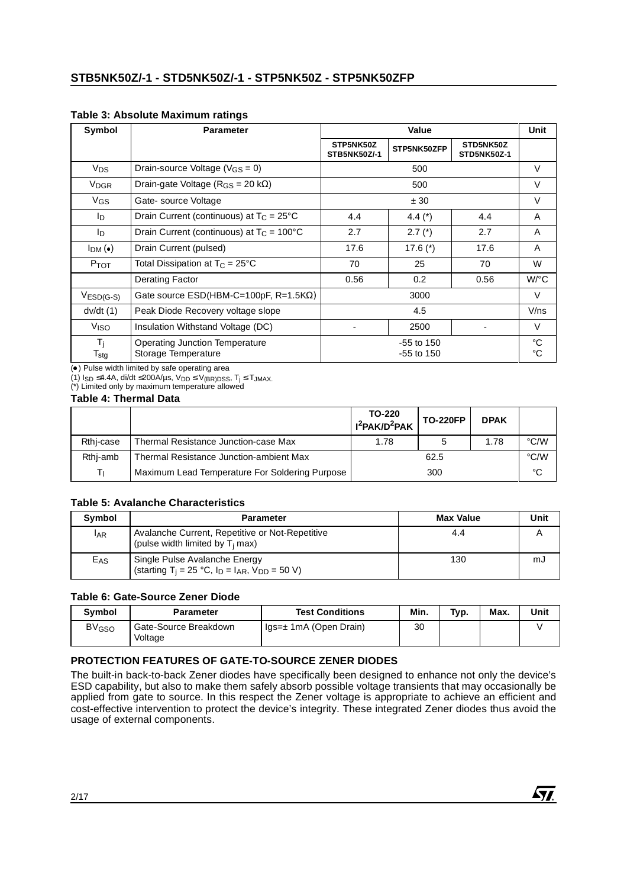## **Table 3: Absolute Maximum ratings**

| Symbol                               | <b>Parameter</b>                                             |                           | Value                        |                          | Unit                       |
|--------------------------------------|--------------------------------------------------------------|---------------------------|------------------------------|--------------------------|----------------------------|
|                                      |                                                              | STP5NK50Z<br>STB5NK50Z/-1 | STP5NK50ZFP                  | STD5NK50Z<br>STD5NK50Z-1 |                            |
| <b>V<sub>DS</sub></b>                | Drain-source Voltage ( $V_{GS} = 0$ )                        |                           | 500                          |                          | $\vee$                     |
| <b>V<sub>DGR</sub></b>               | Drain-gate Voltage ( $R_{GS}$ = 20 k $\Omega$ )              |                           | 500                          |                          | V                          |
| VGS                                  | Gate-source Voltage                                          |                           | ± 30                         |                          | $\vee$                     |
| In.                                  | Drain Current (continuous) at $T_C = 25^{\circ}C$            | 4.4                       | 4.4 $(*)$                    | 4.4                      | A                          |
| I <sub>D</sub>                       | Drain Current (continuous) at $T_C = 100^{\circ}C$           | 2.7<br>$2.7$ (*)<br>2.7   |                              |                          | A                          |
| $I_{DM}(\bullet)$                    | Drain Current (pulsed)                                       | 17.6                      | 17.6 $(*)$                   | 17.6                     | A                          |
| P <sub>TOT</sub>                     | Total Dissipation at $T_C = 25^{\circ}C$                     | 70                        | 25                           | 70                       | W                          |
|                                      | Derating Factor                                              | 0.56                      | 0.2                          | 0.56                     | $W$ <sup>o</sup> $C$       |
| $VESD(G-S)$                          | Gate source $ESD(HBM-C=100pF, R=1.5K\Omega)$                 |                           | 3000                         |                          | V                          |
| dv/dt(1)                             | Peak Diode Recovery voltage slope                            |                           | 4.5                          |                          | V/ns                       |
| V <sub>ISO</sub>                     | Insulation Withstand Voltage (DC)                            |                           | 2500                         |                          | V                          |
| $T_i$<br>$\mathsf{T}_{\textsf{stg}}$ | <b>Operating Junction Temperature</b><br>Storage Temperature |                           | $-55$ to 150<br>$-55$ to 150 |                          | $^{\circ}C$<br>$^{\circ}C$ |

() Pulse width limited by safe operating area

(1)  $I_{SD}$  ≤4.4A, di/dt ≤200A/µs,  $V_{DD}$  ≤  $V_{(BR)DSS}$ ,  $T_j$  ≤  $T_{JMAX}$ .

(\*) Limited only by maximum temperature allowed

# **Table 4: Thermal Data**

|           |                                                | TO-220<br>$I^2$ PAK/D <sup>2</sup> PAK | <b>TO-220FP</b> | <b>DPAK</b> |      |
|-----------|------------------------------------------------|----------------------------------------|-----------------|-------------|------|
| Rthj-case | Thermal Resistance Junction-case Max           | 1.78                                   |                 | 1.78        | °C/W |
| Rthi-amb  | Thermal Resistance Junction-ambient Max        |                                        | 62.5            |             | °C/W |
| Τг        | Maximum Lead Temperature For Soldering Purpose |                                        | 300             |             | °C   |

## **Table 5: Avalanche Characteristics**

| Symbol     | <b>Parameter</b>                                                                                     | <b>Max Value</b> | Unit |
|------------|------------------------------------------------------------------------------------------------------|------------------|------|
| <b>LAR</b> | Avalanche Current, Repetitive or Not-Repetitive<br>(pulse width limited by $T_i$ max)                | 4.4              |      |
| $E_{AS}$   | Single Pulse Avalanche Energy<br>(starting T <sub>i</sub> = 25 °C, $I_D = I_{AR}$ , $V_{DD} = 50$ V) | 130              | mJ   |

# **Table 6: Gate-Source Zener Diode**

| <b>Symbol</b>           | <b>Parameter</b>                 | <b>Test Conditions</b>                       | Min. | Typ. | Max. | Unit |
|-------------------------|----------------------------------|----------------------------------------------|------|------|------|------|
| <b>BV<sub>GSO</sub></b> | Gate-Source Breakdown<br>Voltage | $\mathsf{Iqs}=\pm 1\mathsf{mA}$ (Open Drain) | 30   |      |      |      |

# **PROTECTION FEATURES OF GATE-TO-SOURCE ZENER DIODES**

The built-in back-to-back Zener diodes have specifically been designed to enhance not only the device's ESD capability, but also to make them safely absorb possible voltage transients that may occasionally be applied from gate to source. In this respect the Zener voltage is appropriate to achieve an efficient and cost-effective intervention to protect the device's integrity. These integrated Zener diodes thus avoid the usage of external components.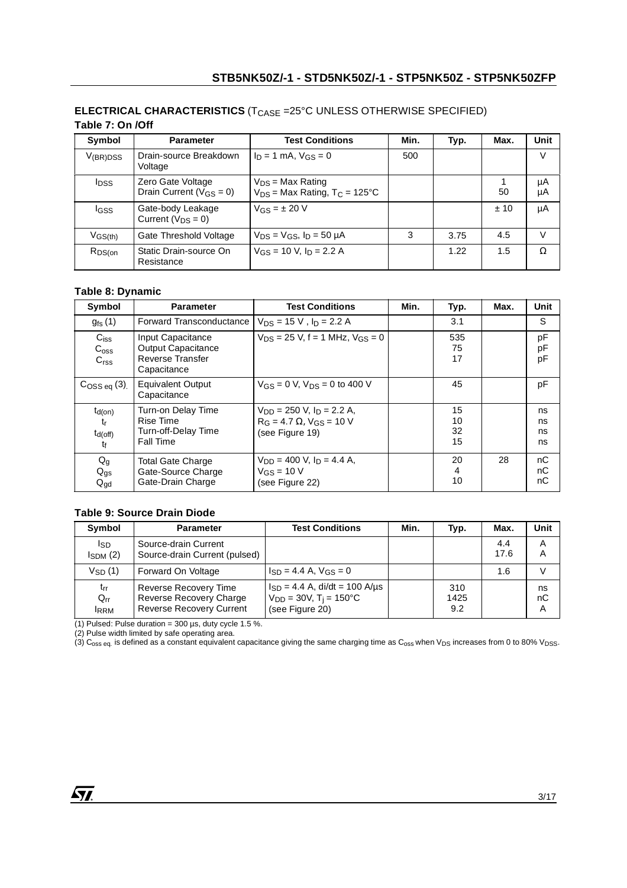| able 7: Un JUIT         |                                                     |                                                                        |      |      |      |          |
|-------------------------|-----------------------------------------------------|------------------------------------------------------------------------|------|------|------|----------|
| Symbol                  | <b>Parameter</b>                                    | <b>Test Conditions</b>                                                 | Min. | Typ. | Max. | Unit     |
| $V_{\rm (BR)DSS}$       | Drain-source Breakdown<br>Voltage                   | $I_D = 1$ mA, $V_{GS} = 0$                                             | 500  |      |      | V        |
| <b>I</b> <sub>DSS</sub> | Zero Gate Voltage<br>Drain Current ( $V_{GS} = 0$ ) | $V_{DS}$ = Max Rating<br>$V_{DS}$ = Max Rating, T <sub>C</sub> = 125°C |      |      | 50   | μA<br>μA |
| <b>IGSS</b>             | Gate-body Leakage<br>Current $(V_{DS} = 0)$         | $V_{GS} = \pm 20 V$                                                    |      |      | ±10  | μA       |
| $V$ GS(th)              | Gate Threshold Voltage                              | $V_{DS}$ = $V_{GS}$ , $I_D$ = 50 $\mu$ A                               | 3    | 3.75 | 4.5  | V        |
| $R_{DS(on)}$            | Static Drain-source On<br>Resistance                | $V_{GS}$ = 10 V, $I_D$ = 2.2 A                                         |      | 1.22 | 1.5  | Ω        |

## **ELECTRICAL CHARACTERISTICS** (T<sub>CASE</sub> =25°C UNLESS OTHERWISE SPECIFIED) **Table 7: On /Off**

# **Table 8: Dynamic**

| Symbol                                            | <b>Parameter</b>                                                                         | <b>Test Conditions</b>                                                                      | Min. | Typ.                       | Max. | <b>Unit</b>          |
|---------------------------------------------------|------------------------------------------------------------------------------------------|---------------------------------------------------------------------------------------------|------|----------------------------|------|----------------------|
| $g_{\text{fs}}(1)$                                | <b>Forward Transconductance</b>                                                          | $V_{DS}$ = 15 V, $I_D$ = 2.2 A                                                              |      | 3.1                        |      | S                    |
| $C_{iss}$<br>$C_{\text{OSS}}$<br>C <sub>rss</sub> | Input Capacitance<br><b>Output Capacitance</b><br><b>Reverse Transfer</b><br>Capacitance | $V_{DS} = 25$ V, f = 1 MHz, $V_{GS} = 0$                                                    |      | 535<br>75<br>17            |      | pF<br>pF<br>pF       |
| $C$ <sub>OSS eq</sub> $(3)$ .                     | Equivalent Output<br>Capacitance                                                         | $V_{GS} = 0$ V, $V_{DS} = 0$ to 400 V                                                       |      | 45                         |      | pF                   |
| $t_{d(on)}$<br>tr<br>$t_{d(off)}$<br>tf           | Turn-on Delay Time<br>Rise Time<br>Turn-off-Delay Time<br>Fall Time                      | $V_{DD}$ = 250 V, $I_D$ = 2.2 A,<br>$R_G = 4.7 \Omega$ , $V_{GS} = 10 V$<br>(see Figure 19) |      | 15<br>10<br>32<br>15       |      | ns<br>ns<br>ns<br>ns |
| $Q_g$<br>$Q_{gs}$<br>$Q_{gd}$                     | <b>Total Gate Charge</b><br>Gate-Source Charge<br>Gate-Drain Charge                      | $V_{DD}$ = 400 V, $I_D$ = 4.4 A,<br>$V_{GS}$ = 10 V<br>(see Figure 22)                      |      | 20<br>$\overline{4}$<br>10 | 28   | nC<br>nС<br>nС       |

# **Table 9: Source Drain Diode**

| Symbol                              | <b>Parameter</b>                                                                           | <b>Test Conditions</b>                                                                           | Min. | Typ.               | Max.        | Unit          |
|-------------------------------------|--------------------------------------------------------------------------------------------|--------------------------------------------------------------------------------------------------|------|--------------------|-------------|---------------|
| Isp<br>$I_{SDM}$ (2)                | Source-drain Current<br>Source-drain Current (pulsed)                                      |                                                                                                  |      |                    | 4.4<br>17.6 | A<br>Α        |
| $V_{SD}(1)$                         | Forward On Voltage                                                                         | $I_{SD} = 4.4$ A, $V_{GS} = 0$                                                                   |      |                    | 1.6         |               |
| $t_{rr}$<br>$Q_{rr}$<br><b>IRRM</b> | <b>Reverse Recovery Time</b><br>Reverse Recovery Charge<br><b>Reverse Recovery Current</b> | $I_{SD} = 4.4$ A, di/dt = 100 A/µs<br>$V_{DD} = 30V$ , T <sub>i</sub> = 150°C<br>(see Figure 20) |      | 310<br>1425<br>9.2 |             | ns<br>nC<br>Α |

(1) Pulsed: Pulse duration =  $300 \,\mu s$ , duty cycle 1.5 %.

(2) Pulse width limited by safe operating area.

(3)  $C_{\rm oss}$  eq. is defined as a constant equivalent capacitance giving the same charging time as  $C_{\rm oss}$  when  $V_{\rm DS}$  increases from 0 to 80%  $V_{\rm DSS}$ .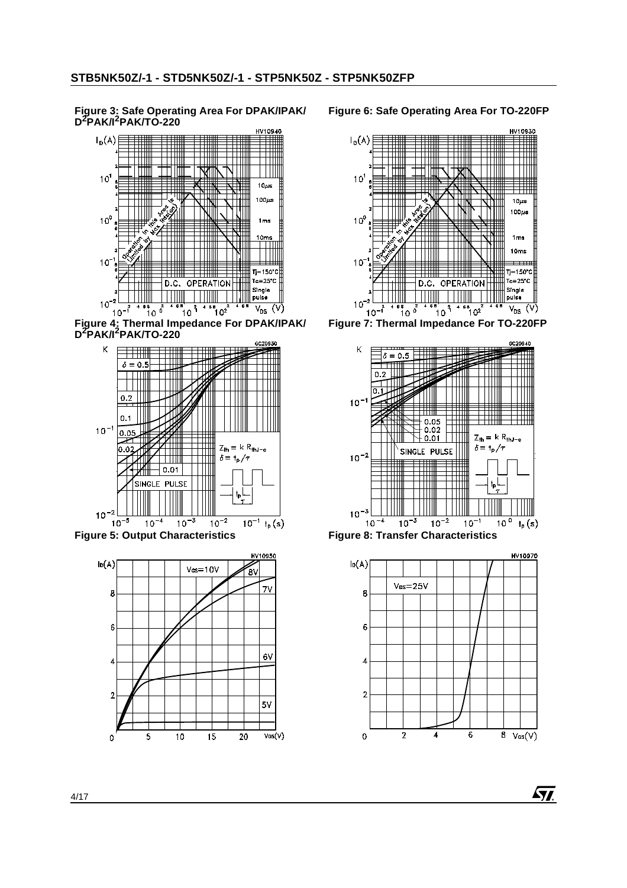## **Figure 3: Safe Operating Area For DPAK/IPAK/ D2PAK/I2PAK/TO-220**



**Figure 4: Thermal Impedance For DPAK/IPAK/ D2PAK/I2PAK/TO-220**





# **Figure 6: Safe Operating Area For TO-220FP**







**Ays**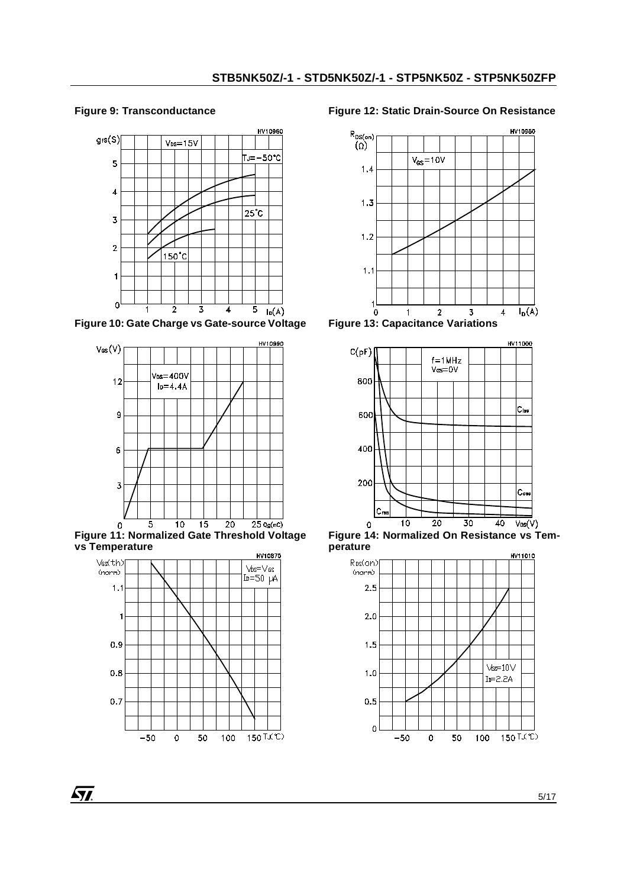# **Figure 9: Transconductance**



**Figure 10: Gate Charge vs Gate-source Voltage**



**Figure 11: Normalized Gate Threshold Voltage vs Temperature**



# **Figure 12: Static Drain-Source On Resistance**



**Figure 13: Capacitance Variations**



**Figure 14: Normalized On Resistance vs Temperature**



**ST**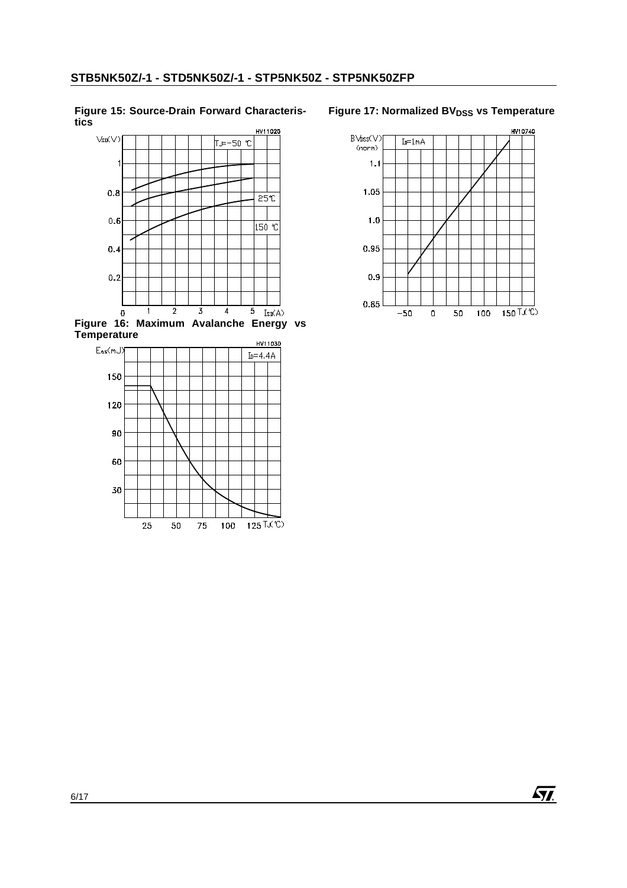#### **Figure 15: Source-Drain Forward Characteristics**



**Figure 16: Maximum Avalanche Energy vs Temperature**



# **Figure 17: Normalized BVDSS vs Temperature**

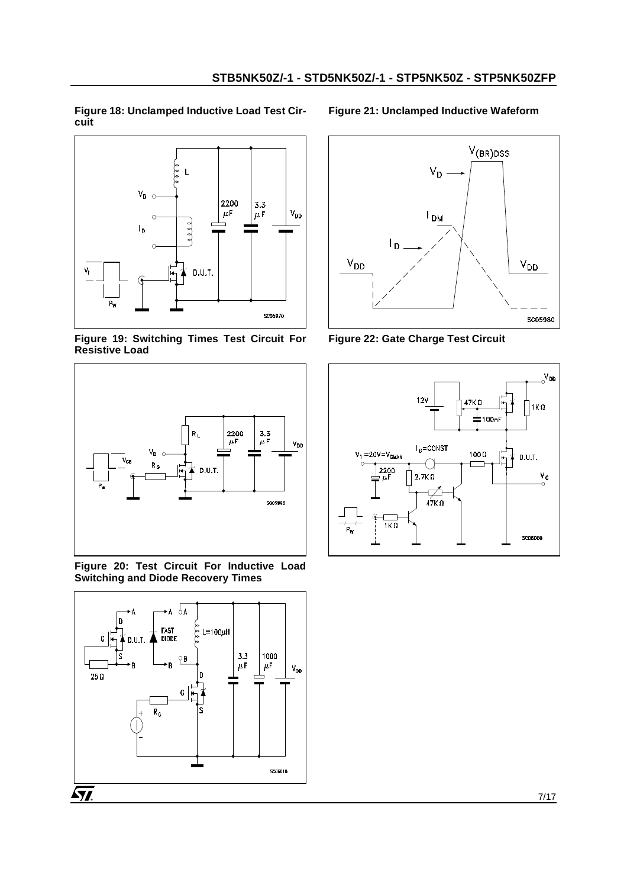**Figure 18: Unclamped Inductive Load Test Circuit** 



<span id="page-6-2"></span>**Figure 19: Switching Times Test Circuit For Resistive Load** 



<span id="page-6-1"></span>**Figure 20: Test Circuit For Inductive Load Switching and Diode Recovery Times** 



**Figure 21: Unclamped Inductive Wafeform**



<span id="page-6-0"></span>**Figure 22: Gate Charge Test Circuit** 

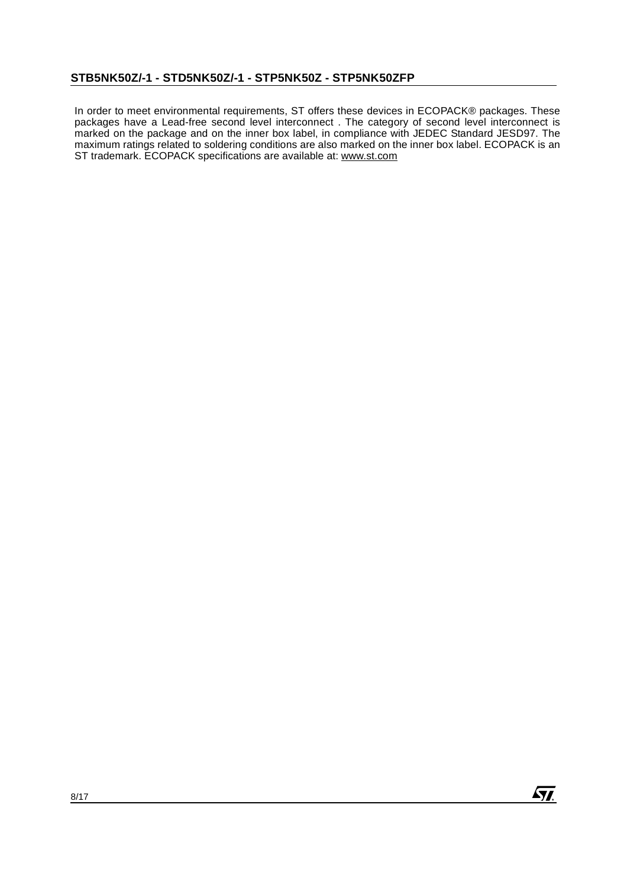In order to meet environmental requirements, ST offers these devices in ECOPACK® packages. These packages have a Lead-free second level interconnect . The category of second level interconnect is marked on the package and on the inner box label, in compliance with JEDEC Standard JESD97. The maximum ratings related to soldering conditions are also marked on the inner box label. ECOPACK is an ST trademark. ECOPACK specifications are available at: www.st.com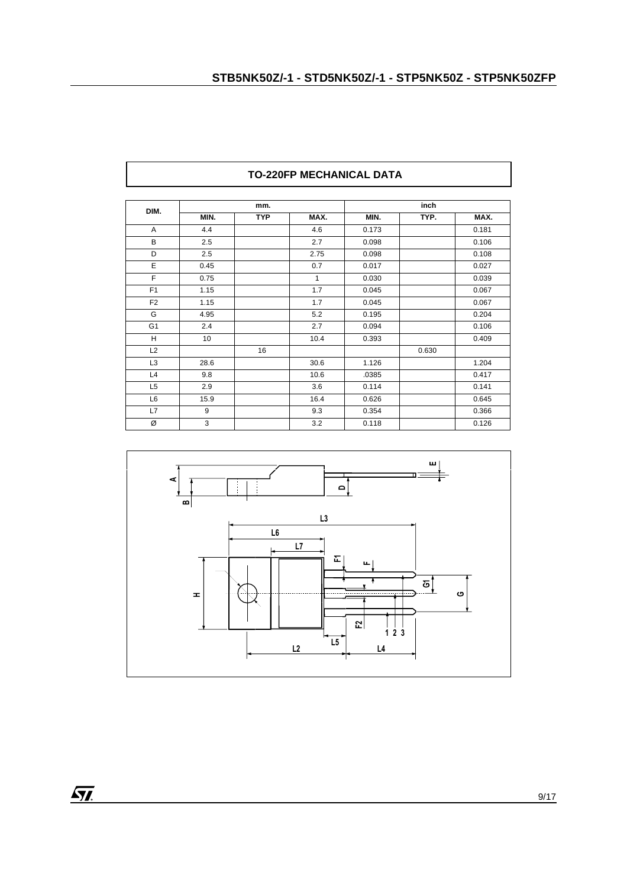| DIM.           |      | mm.        |      | inch  |       |       |
|----------------|------|------------|------|-------|-------|-------|
|                | MIN. | <b>TYP</b> | MAX. | MIN.  | TYP.  | MAX.  |
| A              | 4.4  |            | 4.6  | 0.173 |       | 0.181 |
| B              | 2.5  |            | 2.7  | 0.098 |       | 0.106 |
| D              | 2.5  |            | 2.75 | 0.098 |       | 0.108 |
| E              | 0.45 |            | 0.7  | 0.017 |       | 0.027 |
| F              | 0.75 |            | 1    | 0.030 |       | 0.039 |
| F <sub>1</sub> | 1.15 |            | 1.7  | 0.045 |       | 0.067 |
| F <sub>2</sub> | 1.15 |            | 1.7  | 0.045 |       | 0.067 |
| G              | 4.95 |            | 5.2  | 0.195 |       | 0.204 |
| G <sub>1</sub> | 2.4  |            | 2.7  | 0.094 |       | 0.106 |
| H              | 10   |            | 10.4 | 0.393 |       | 0.409 |
| L2             |      | 16         |      |       | 0.630 |       |
| L <sub>3</sub> | 28.6 |            | 30.6 | 1.126 |       | 1.204 |
| L4             | 9.8  |            | 10.6 | .0385 |       | 0.417 |
| L <sub>5</sub> | 2.9  |            | 3.6  | 0.114 |       | 0.141 |
| L <sub>6</sub> | 15.9 |            | 16.4 | 0.626 |       | 0.645 |
| L7             | 9    |            | 9.3  | 0.354 |       | 0.366 |
| Ø              | 3    |            | 3.2  | 0.118 |       | 0.126 |

# **TO-220FP MECHANICAL DATA**

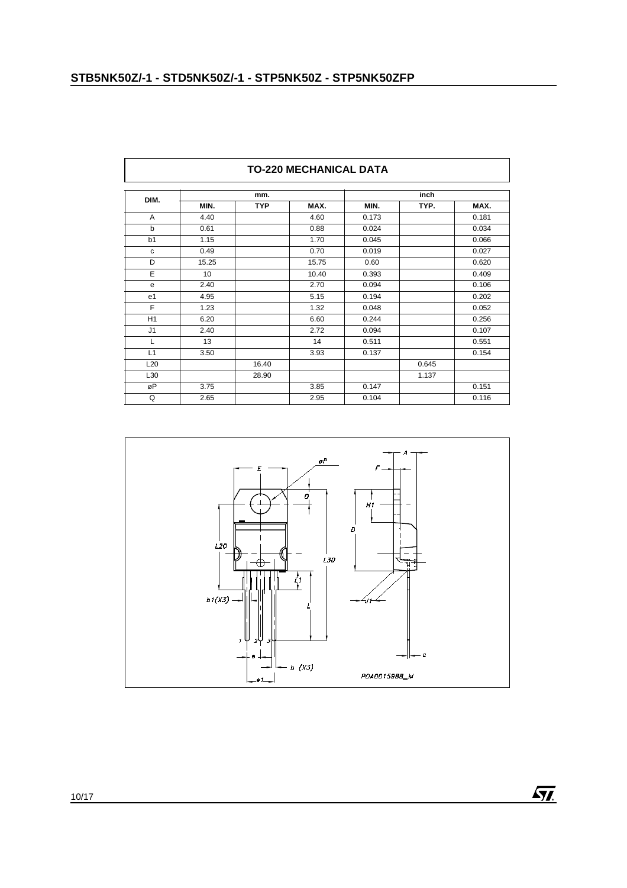$\overline{a}$ 

|                 | <b>TO-220 MECHANICAL DATA</b> |            |       |       |       |       |  |  |  |  |
|-----------------|-------------------------------|------------|-------|-------|-------|-------|--|--|--|--|
|                 |                               | mm.        |       |       | inch  |       |  |  |  |  |
| DIM.            | MIN.                          | <b>TYP</b> | MAX.  | MIN.  | TYP.  | MAX.  |  |  |  |  |
| A               | 4.40                          |            | 4.60  | 0.173 |       | 0.181 |  |  |  |  |
| $\mathbf b$     | 0.61                          |            | 0.88  | 0.024 |       | 0.034 |  |  |  |  |
| b1              | 1.15                          |            | 1.70  | 0.045 |       | 0.066 |  |  |  |  |
| c               | 0.49                          |            | 0.70  | 0.019 |       | 0.027 |  |  |  |  |
| D               | 15.25                         |            | 15.75 | 0.60  |       | 0.620 |  |  |  |  |
| Ε               | 10 <sup>°</sup>               |            | 10.40 | 0.393 |       | 0.409 |  |  |  |  |
| e               | 2.40                          |            | 2.70  | 0.094 |       | 0.106 |  |  |  |  |
| e <sub>1</sub>  | 4.95                          |            | 5.15  | 0.194 |       | 0.202 |  |  |  |  |
| F               | 1.23                          |            | 1.32  | 0.048 |       | 0.052 |  |  |  |  |
| H1              | 6.20                          |            | 6.60  | 0.244 |       | 0.256 |  |  |  |  |
| J <sub>1</sub>  | 2.40                          |            | 2.72  | 0.094 |       | 0.107 |  |  |  |  |
| L               | 13                            |            | 14    | 0.511 |       | 0.551 |  |  |  |  |
| L1              | 3.50                          |            | 3.93  | 0.137 |       | 0.154 |  |  |  |  |
| L <sub>20</sub> |                               | 16.40      |       |       | 0.645 |       |  |  |  |  |
| L30             |                               | 28.90      |       |       | 1.137 |       |  |  |  |  |
| øP              | 3.75                          |            | 3.85  | 0.147 |       | 0.151 |  |  |  |  |
| Q               | 2.65                          |            | 2.95  | 0.104 |       | 0.116 |  |  |  |  |

٦

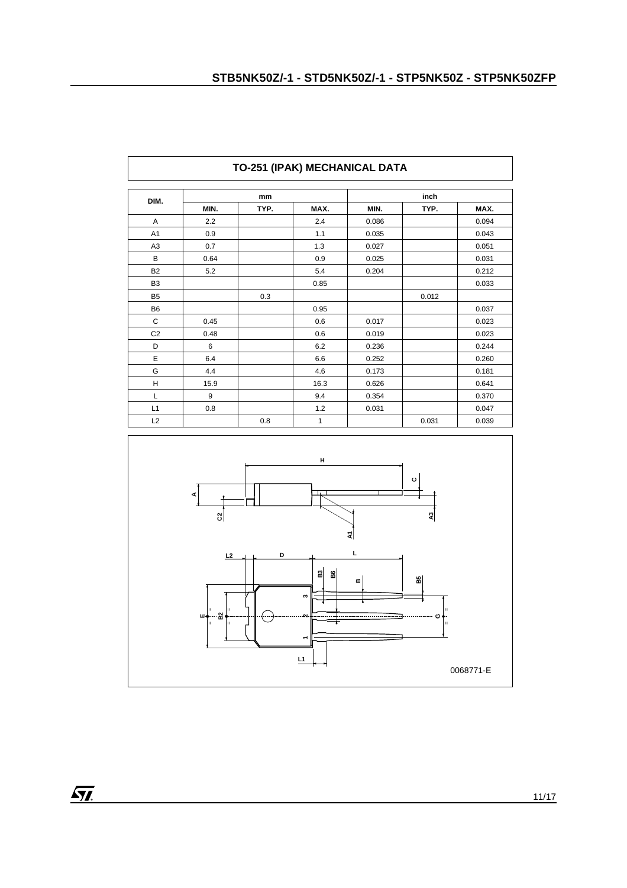| DIM.           |      | mm   |      |       | inch  |       |
|----------------|------|------|------|-------|-------|-------|
|                | MIN. | TYP. | MAX. | MIN.  | TYP.  | MAX.  |
| A              | 2.2  |      | 2.4  | 0.086 |       | 0.094 |
| A <sub>1</sub> | 0.9  |      | 1.1  | 0.035 |       | 0.043 |
| A <sub>3</sub> | 0.7  |      | 1.3  | 0.027 |       | 0.051 |
| B              | 0.64 |      | 0.9  | 0.025 |       | 0.031 |
| <b>B2</b>      | 5.2  |      | 5.4  | 0.204 |       | 0.212 |
| B <sub>3</sub> |      |      | 0.85 |       |       | 0.033 |
| B <sub>5</sub> |      | 0.3  |      |       | 0.012 |       |
| <b>B6</b>      |      |      | 0.95 |       |       | 0.037 |
| C              | 0.45 |      | 0.6  | 0.017 |       | 0.023 |
| C <sub>2</sub> | 0.48 |      | 0.6  | 0.019 |       | 0.023 |
| D              | 6    |      | 6.2  | 0.236 |       | 0.244 |
| E              | 6.4  |      | 6.6  | 0.252 |       | 0.260 |
| G              | 4.4  |      | 4.6  | 0.173 |       | 0.181 |
| H              | 15.9 |      | 16.3 | 0.626 |       | 0.641 |
| L              | 9    |      | 9.4  | 0.354 |       | 0.370 |
| L1             | 0.8  |      | 1.2  | 0.031 |       | 0.047 |
| L2             |      | 0.8  | 1    |       | 0.031 | 0.039 |

# **TO-251 (IPAK) MECHANICAL DATA**

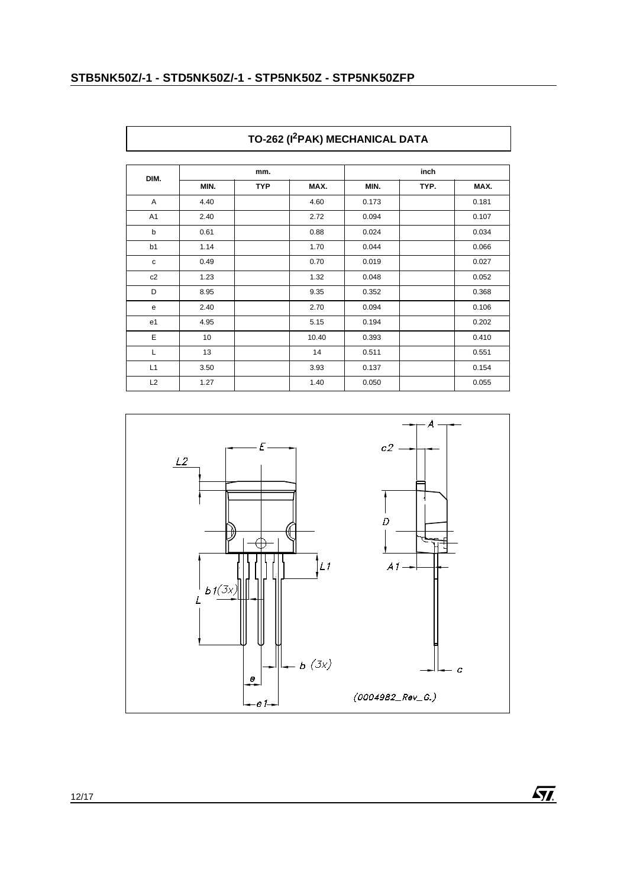| DIM.           | mm.  |            |       | inch  |      |       |
|----------------|------|------------|-------|-------|------|-------|
|                | MIN. | <b>TYP</b> | MAX.  | MIN.  | TYP. | MAX.  |
| Α              | 4.40 |            | 4.60  | 0.173 |      | 0.181 |
| A <sub>1</sub> | 2.40 |            | 2.72  | 0.094 |      | 0.107 |
| b              | 0.61 |            | 0.88  | 0.024 |      | 0.034 |
| b1             | 1.14 |            | 1.70  | 0.044 |      | 0.066 |
| $\mathbf c$    | 0.49 |            | 0.70  | 0.019 |      | 0.027 |
| c2             | 1.23 |            | 1.32  | 0.048 |      | 0.052 |
| D              | 8.95 |            | 9.35  | 0.352 |      | 0.368 |
| e              | 2.40 |            | 2.70  | 0.094 |      | 0.106 |
| e1             | 4.95 |            | 5.15  | 0.194 |      | 0.202 |
| $\mathsf E$    | 10   |            | 10.40 | 0.393 |      | 0.410 |
| L              | 13   |            | 14    | 0.511 |      | 0.551 |
| L1             | 3.50 |            | 3.93  | 0.137 |      | 0.154 |
| L2             | 1.27 |            | 1.40  | 0.050 |      | 0.055 |



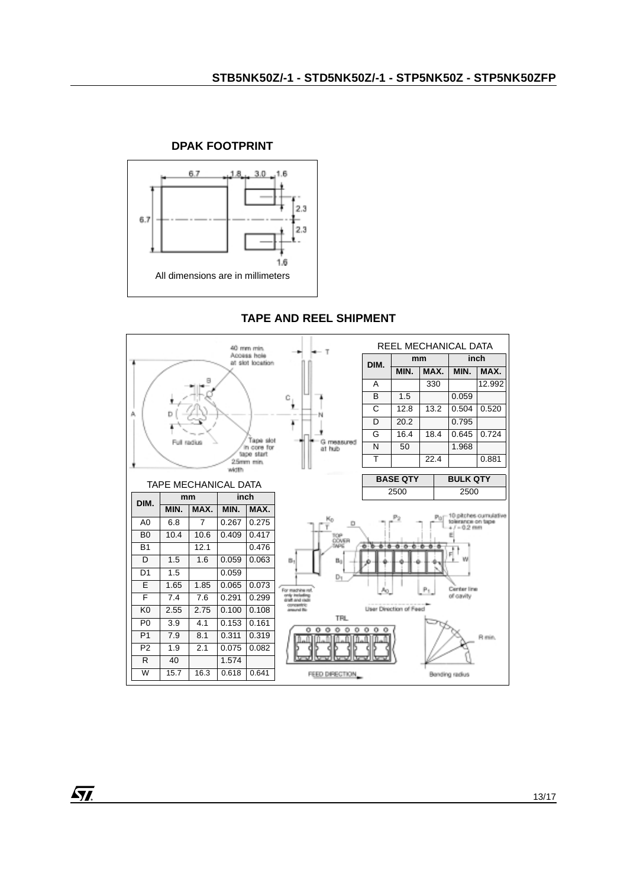

# **DPAK FOOTPRINT**

# **TAPE AND REEL SHIPMENT**

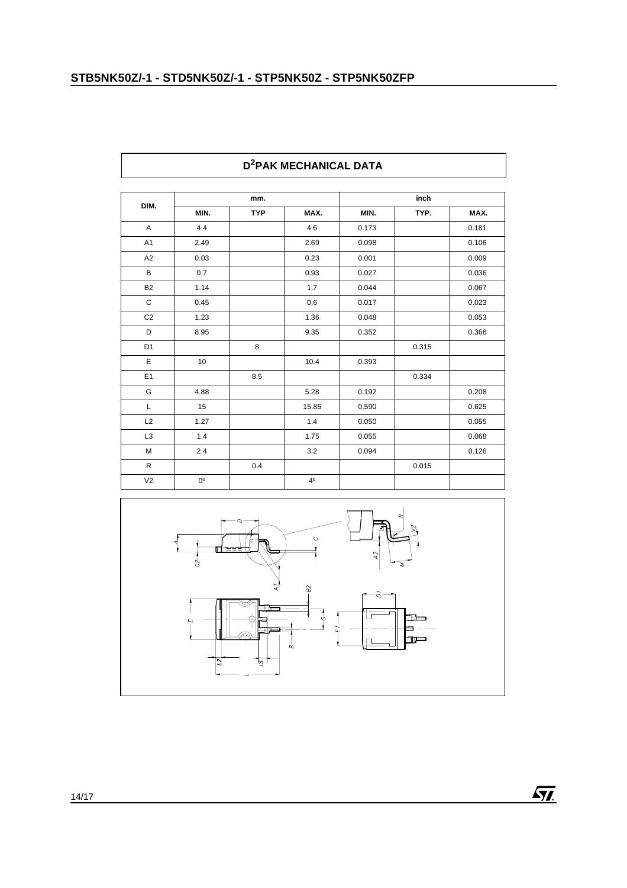| DIM.           | mm.         |            |                | inch  |       |       |
|----------------|-------------|------------|----------------|-------|-------|-------|
|                | MIN.        | <b>TYP</b> | MAX.           | MIN.  | TYP.  | MAX.  |
| $\mathsf{A}$   | 4.4         |            | 4.6            | 0.173 |       | 0.181 |
| A <sub>1</sub> | 2.49        |            | 2.69           | 0.098 |       | 0.106 |
| A <sub>2</sub> | 0.03        |            | 0.23           | 0.001 |       | 0.009 |
| $\, {\bf B}$   | 0.7         |            | 0.93           | 0.027 |       | 0.036 |
| <b>B2</b>      | 1.14        |            | 1.7            | 0.044 |       | 0.067 |
| С              | 0.45        |            | 0.6            | 0.017 |       | 0.023 |
| C <sub>2</sub> | 1.23        |            | 1.36           | 0.048 |       | 0.053 |
| D              | 8.95        |            | 9.35           | 0.352 |       | 0.368 |
| D <sub>1</sub> |             | 8          |                |       | 0.315 |       |
| E              | 10          |            | 10.4           | 0.393 |       |       |
| E <sub>1</sub> |             | 8.5        |                |       | 0.334 |       |
| G              | 4.88        |            | 5.28           | 0.192 |       | 0.208 |
| L              | 15          |            | 15.85          | 0.590 |       | 0.625 |
| L2             | 1.27        |            | 1.4            | 0.050 |       | 0.055 |
| L <sub>3</sub> | 1.4         |            | 1.75           | 0.055 |       | 0.068 |
| M              | 2.4         |            | 3.2            | 0.094 |       | 0.126 |
| $\mathsf{R}$   |             | 0.4        |                |       | 0.015 |       |
| V <sub>2</sub> | $0^{\circ}$ |            | 4 <sup>0</sup> |       |       |       |

#### **TO-247 MECHANICAL DATA D2PAK MECHANICAL DATA**

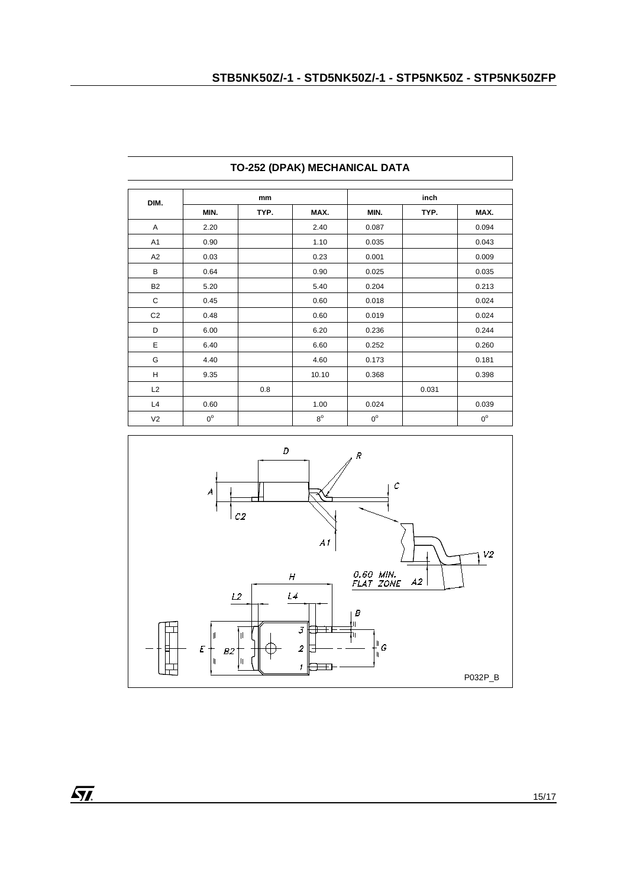| DIM.           | mm          |      |             | inch        |       |             |
|----------------|-------------|------|-------------|-------------|-------|-------------|
|                | MIN.        | TYP. | MAX.        | MIN.        | TYP.  | MAX.        |
| A              | 2.20        |      | 2.40        | 0.087       |       | 0.094       |
| A <sub>1</sub> | 0.90        |      | 1.10        | 0.035       |       | 0.043       |
| A2             | 0.03        |      | 0.23        | 0.001       |       | 0.009       |
| В              | 0.64        |      | 0.90        | 0.025       |       | 0.035       |
| <b>B2</b>      | 5.20        |      | 5.40        | 0.204       |       | 0.213       |
| C              | 0.45        |      | 0.60        | 0.018       |       | 0.024       |
| C <sub>2</sub> | 0.48        |      | 0.60        | 0.019       |       | 0.024       |
| D              | 6.00        |      | 6.20        | 0.236       |       | 0.244       |
| Ε              | 6.40        |      | 6.60        | 0.252       |       | 0.260       |
| G              | 4.40        |      | 4.60        | 0.173       |       | 0.181       |
| H              | 9.35        |      | 10.10       | 0.368       |       | 0.398       |
| L2             |             | 0.8  |             |             | 0.031 |             |
| L4             | 0.60        |      | 1.00        | 0.024       |       | 0.039       |
| V <sub>2</sub> | $0^{\circ}$ |      | $8^{\circ}$ | $0^{\circ}$ |       | $0^{\circ}$ |

# **TO-252 (DPAK) MECHANICAL DATA**

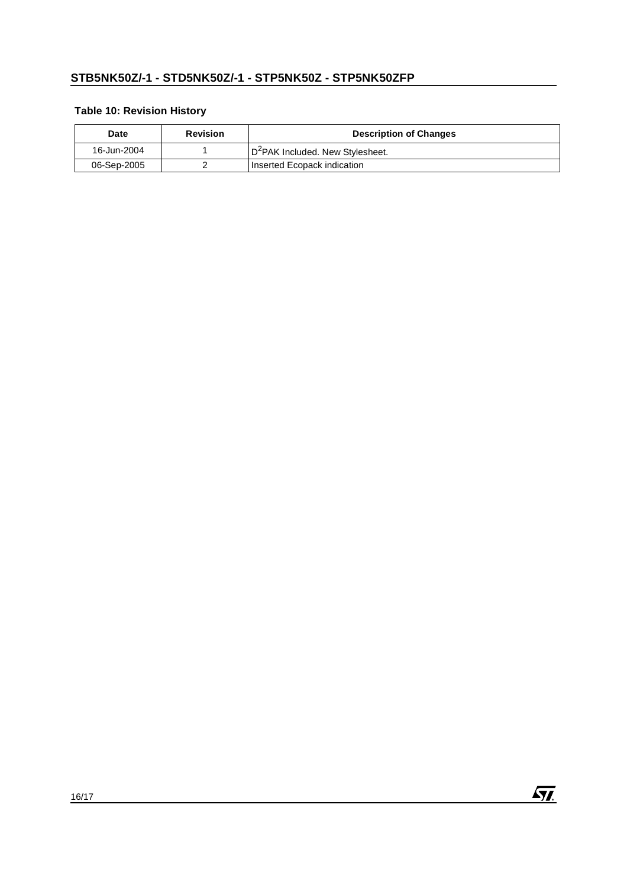# **Table 10: Revision History**

| Date        | <b>Revision</b> | <b>Description of Changes</b>                |
|-------------|-----------------|----------------------------------------------|
| 16-Jun-2004 |                 | D <sup>2</sup> PAK Included. New Stylesheet. |
| 06-Sep-2005 |                 | Inserted Ecopack indication                  |